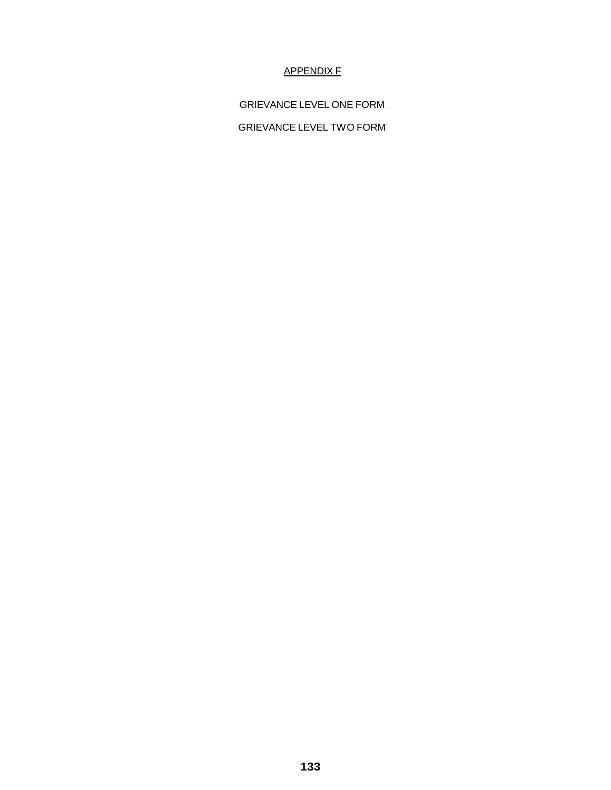## APPENDIX F

GRIEVANCE LEVEL ONE FORM GRIEVANCE LEVEL TWO FORM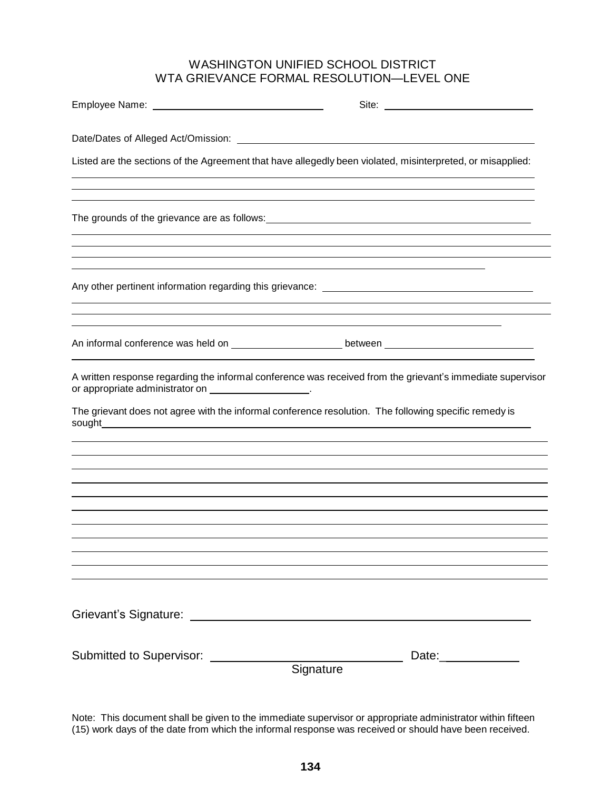## WASHINGTON UNIFIED SCHOOL DISTRICT WTA GRIEVANCE FORMAL RESOLUTION—LEVEL ONE

|                                                                                                               | Site:                                                                                                                                                                                                               |
|---------------------------------------------------------------------------------------------------------------|---------------------------------------------------------------------------------------------------------------------------------------------------------------------------------------------------------------------|
|                                                                                                               |                                                                                                                                                                                                                     |
|                                                                                                               | Listed are the sections of the Agreement that have allegedly been violated, misinterpreted, or misapplied:                                                                                                          |
|                                                                                                               | ,我们也不会有什么。""我们的人,我们也不会有什么?""我们的人,我们也不会有什么?""我们的人,我们也不会有什么?""我们的人,我们也不会有什么?""我们的人                                                                                                                                    |
|                                                                                                               | ,我们也不能会有一个人的人,我们也不能会有一个人的人,我们也不能会有一个人的人,我们也不能会有一个人的人。""我们的人,我们也不能会有一个人的人,我们也不能会有一<br>,我们也不会有什么。""我们的人,我们也不会有什么?""我们的人,我们也不会有什么?""我们的人,我们也不会有什么?""我们的人,我们也不会有什么?""我们的人                                               |
|                                                                                                               | An informal conference was held on __________________________between _______________________________                                                                                                                |
| or appropriate administrator on ___________________.                                                          | A written response regarding the informal conference was received from the grievant's immediate supervisor<br>The grievant does not agree with the informal conference resolution. The following specific remedy is |
|                                                                                                               |                                                                                                                                                                                                                     |
| Grievant's Signature: Charles Containers and Charles Containers and Charles Containers and Charles Containers |                                                                                                                                                                                                                     |
| Submitted to Supervisor: __________                                                                           | Date:____________<br>Signature                                                                                                                                                                                      |

Note: This document shall be given to the immediate supervisor or appropriate administrator within fifteen (15) work days of the date from which the informal response was received or should have been received.